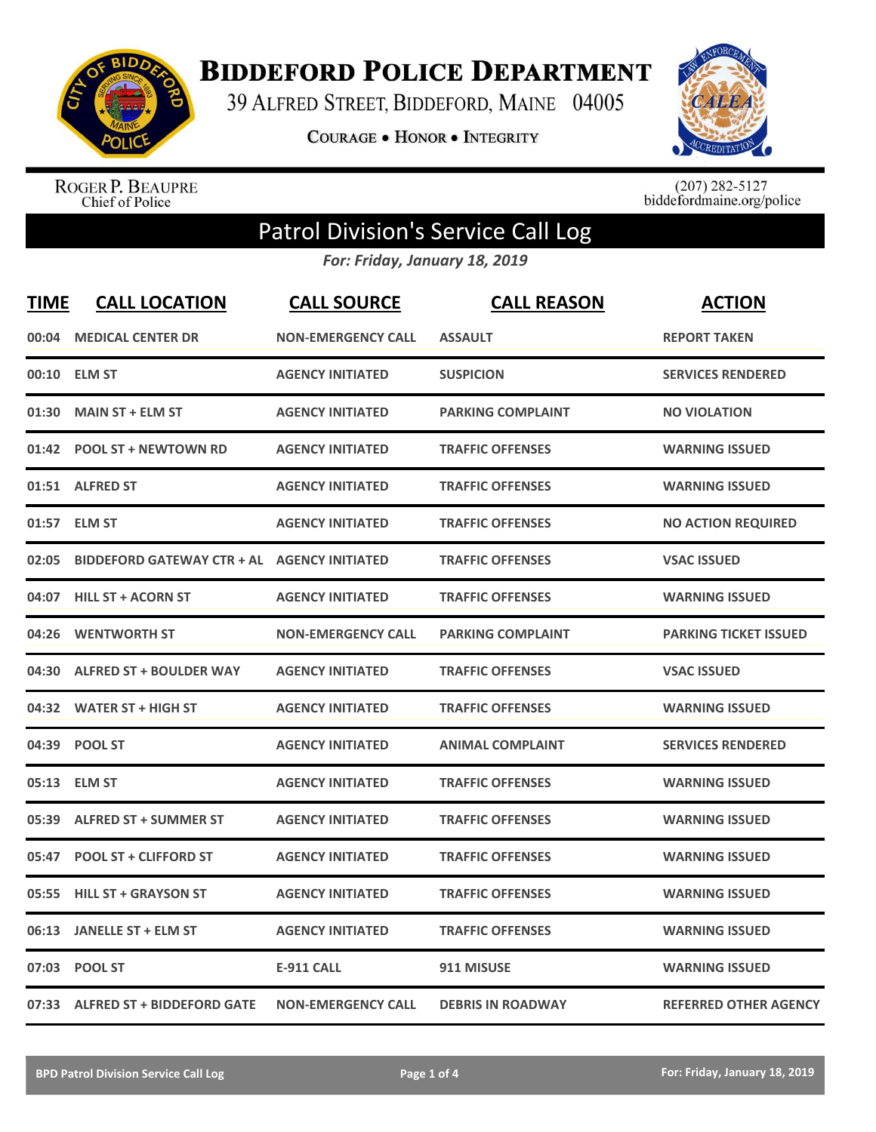

**BIDDEFORD POLICE DEPARTMENT** 

39 ALFRED STREET, BIDDEFORD, MAINE 04005

**COURAGE . HONOR . INTEGRITY** 



ROGER P. BEAUPRE<br>Chief of Police

 $(207)$  282-5127<br>biddefordmaine.org/police

## Patrol Division's Service Call Log

*For: Friday, January 18, 2019*

| <b>TIME</b> | <b>CALL LOCATION</b>                        | <b>CALL SOURCE</b>        | <b>CALL REASON</b>       | <b>ACTION</b>                |
|-------------|---------------------------------------------|---------------------------|--------------------------|------------------------------|
| 00:04       | <b>MEDICAL CENTER DR</b>                    | <b>NON-EMERGENCY CALL</b> | <b>ASSAULT</b>           | <b>REPORT TAKEN</b>          |
| 00:10       | <b>ELM ST</b>                               | <b>AGENCY INITIATED</b>   | <b>SUSPICION</b>         | <b>SERVICES RENDERED</b>     |
| 01:30       | <b>MAIN ST + ELM ST</b>                     | <b>AGENCY INITIATED</b>   | <b>PARKING COMPLAINT</b> | <b>NO VIOLATION</b>          |
| 01:42       | <b>POOL ST + NEWTOWN RD</b>                 | <b>AGENCY INITIATED</b>   | <b>TRAFFIC OFFENSES</b>  | <b>WARNING ISSUED</b>        |
|             | 01:51 ALFRED ST                             | <b>AGENCY INITIATED</b>   | <b>TRAFFIC OFFENSES</b>  | <b>WARNING ISSUED</b>        |
| 01:57       | <b>ELM ST</b>                               | <b>AGENCY INITIATED</b>   | <b>TRAFFIC OFFENSES</b>  | <b>NO ACTION REQUIRED</b>    |
| 02:05       | BIDDEFORD GATEWAY CTR + AL AGENCY INITIATED |                           | <b>TRAFFIC OFFENSES</b>  | <b>VSAC ISSUED</b>           |
| 04:07       | <b>HILL ST + ACORN ST</b>                   | <b>AGENCY INITIATED</b>   | <b>TRAFFIC OFFENSES</b>  | <b>WARNING ISSUED</b>        |
| 04:26       | <b>WENTWORTH ST</b>                         | <b>NON-EMERGENCY CALL</b> | <b>PARKING COMPLAINT</b> | <b>PARKING TICKET ISSUED</b> |
| 04:30       | <b>ALFRED ST + BOULDER WAY</b>              | <b>AGENCY INITIATED</b>   | <b>TRAFFIC OFFENSES</b>  | <b>VSAC ISSUED</b>           |
|             | 04:32 WATER ST + HIGH ST                    | <b>AGENCY INITIATED</b>   | <b>TRAFFIC OFFENSES</b>  | <b>WARNING ISSUED</b>        |
| 04:39       | <b>POOL ST</b>                              | <b>AGENCY INITIATED</b>   | <b>ANIMAL COMPLAINT</b>  | <b>SERVICES RENDERED</b>     |
| 05:13       | <b>ELM ST</b>                               | <b>AGENCY INITIATED</b>   | <b>TRAFFIC OFFENSES</b>  | <b>WARNING ISSUED</b>        |
| 05:39       | <b>ALFRED ST + SUMMER ST</b>                | <b>AGENCY INITIATED</b>   | <b>TRAFFIC OFFENSES</b>  | <b>WARNING ISSUED</b>        |
| 05:47       | <b>POOL ST + CLIFFORD ST</b>                | <b>AGENCY INITIATED</b>   | <b>TRAFFIC OFFENSES</b>  | <b>WARNING ISSUED</b>        |
| 05:55       | <b>HILL ST + GRAYSON ST</b>                 | <b>AGENCY INITIATED</b>   | <b>TRAFFIC OFFENSES</b>  | <b>WARNING ISSUED</b>        |
| 06:13       | <b>JANELLE ST + ELM ST</b>                  | <b>AGENCY INITIATED</b>   | <b>TRAFFIC OFFENSES</b>  | <b>WARNING ISSUED</b>        |
| 07:03       | <b>POOL ST</b>                              | <b>E-911 CALL</b>         | 911 MISUSE               | <b>WARNING ISSUED</b>        |
|             | 07:33 ALFRED ST + BIDDEFORD GATE            | <b>NON-EMERGENCY CALL</b> | <b>DEBRIS IN ROADWAY</b> | <b>REFERRED OTHER AGENCY</b> |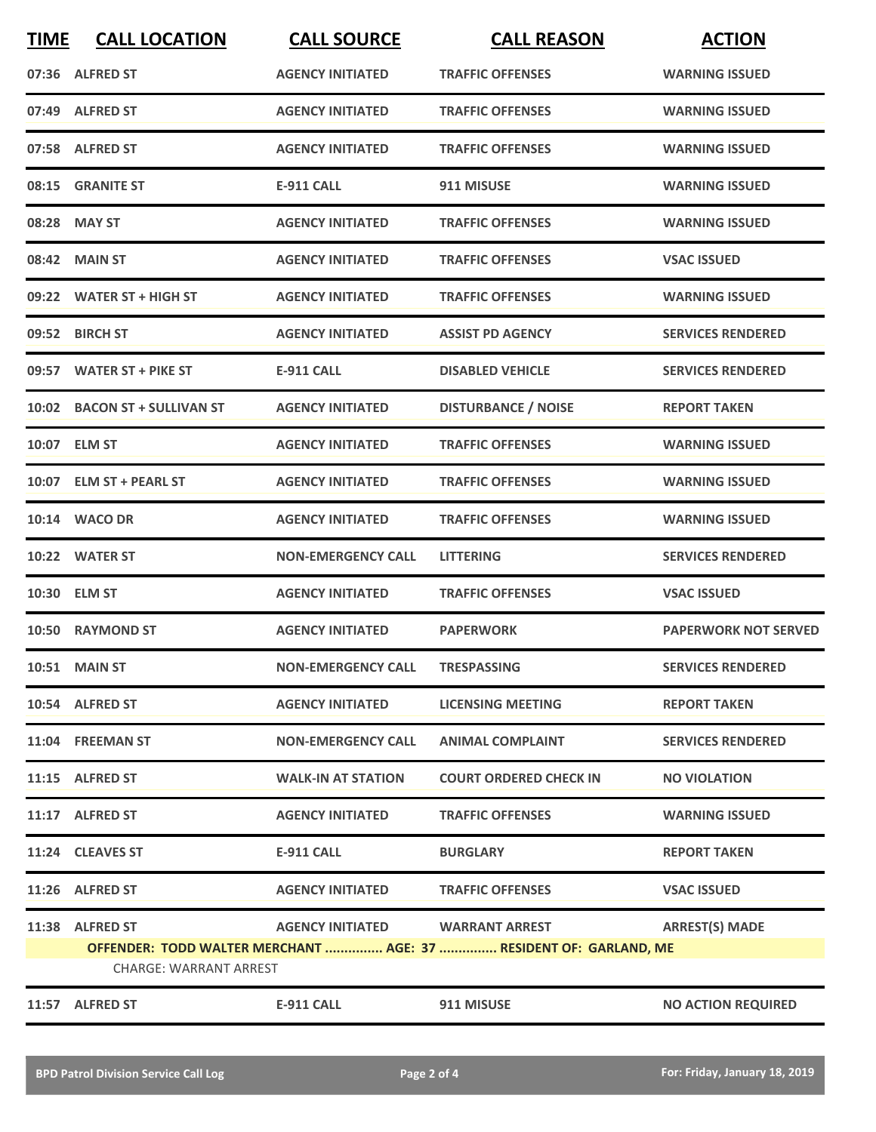| <b>TIME</b>                                                                                        | <b>CALL LOCATION</b>         | <b>CALL SOURCE</b>        | <b>CALL REASON</b>            | <b>ACTION</b>               |
|----------------------------------------------------------------------------------------------------|------------------------------|---------------------------|-------------------------------|-----------------------------|
|                                                                                                    | 07:36 ALFRED ST              | <b>AGENCY INITIATED</b>   | <b>TRAFFIC OFFENSES</b>       | <b>WARNING ISSUED</b>       |
|                                                                                                    | 07:49 ALFRED ST              | <b>AGENCY INITIATED</b>   | <b>TRAFFIC OFFENSES</b>       | <b>WARNING ISSUED</b>       |
|                                                                                                    | 07:58 ALFRED ST              | <b>AGENCY INITIATED</b>   | <b>TRAFFIC OFFENSES</b>       | <b>WARNING ISSUED</b>       |
|                                                                                                    | 08:15 GRANITE ST             | E-911 CALL                | 911 MISUSE                    | <b>WARNING ISSUED</b>       |
|                                                                                                    | 08:28 MAY ST                 | <b>AGENCY INITIATED</b>   | <b>TRAFFIC OFFENSES</b>       | <b>WARNING ISSUED</b>       |
|                                                                                                    | 08:42 MAIN ST                | <b>AGENCY INITIATED</b>   | <b>TRAFFIC OFFENSES</b>       | <b>VSAC ISSUED</b>          |
|                                                                                                    | 09:22 WATER ST + HIGH ST     | <b>AGENCY INITIATED</b>   | <b>TRAFFIC OFFENSES</b>       | <b>WARNING ISSUED</b>       |
|                                                                                                    | 09:52 BIRCH ST               | <b>AGENCY INITIATED</b>   | <b>ASSIST PD AGENCY</b>       | <b>SERVICES RENDERED</b>    |
|                                                                                                    | 09:57 WATER ST + PIKE ST     | <b>E-911 CALL</b>         | <b>DISABLED VEHICLE</b>       | <b>SERVICES RENDERED</b>    |
|                                                                                                    | 10:02 BACON ST + SULLIVAN ST | <b>AGENCY INITIATED</b>   | <b>DISTURBANCE / NOISE</b>    | <b>REPORT TAKEN</b>         |
|                                                                                                    | 10:07 ELM ST                 | <b>AGENCY INITIATED</b>   | <b>TRAFFIC OFFENSES</b>       | <b>WARNING ISSUED</b>       |
|                                                                                                    | 10:07 ELM ST + PEARL ST      | <b>AGENCY INITIATED</b>   | <b>TRAFFIC OFFENSES</b>       | <b>WARNING ISSUED</b>       |
|                                                                                                    | 10:14 WACO DR                | <b>AGENCY INITIATED</b>   | <b>TRAFFIC OFFENSES</b>       | <b>WARNING ISSUED</b>       |
|                                                                                                    | 10:22 WATER ST               | <b>NON-EMERGENCY CALL</b> | <b>LITTERING</b>              | <b>SERVICES RENDERED</b>    |
| 10:30                                                                                              | <b>ELM ST</b>                | <b>AGENCY INITIATED</b>   | <b>TRAFFIC OFFENSES</b>       | <b>VSAC ISSUED</b>          |
|                                                                                                    | 10:50 RAYMOND ST             | <b>AGENCY INITIATED</b>   | <b>PAPERWORK</b>              | <b>PAPERWORK NOT SERVED</b> |
|                                                                                                    | 10:51 MAIN ST                | <b>NON-EMERGENCY CALL</b> | <b>TRESPASSING</b>            | <b>SERVICES RENDERED</b>    |
|                                                                                                    | 10:54 ALFRED ST              | <b>AGENCY INITIATED</b>   | <b>LICENSING MEETING</b>      | <b>REPORT TAKEN</b>         |
|                                                                                                    | 11:04 FREEMAN ST             | <b>NON-EMERGENCY CALL</b> | <b>ANIMAL COMPLAINT</b>       | <b>SERVICES RENDERED</b>    |
|                                                                                                    | 11:15 ALFRED ST              | <b>WALK-IN AT STATION</b> | <b>COURT ORDERED CHECK IN</b> | <b>NO VIOLATION</b>         |
|                                                                                                    | 11:17 ALFRED ST              | <b>AGENCY INITIATED</b>   | <b>TRAFFIC OFFENSES</b>       | <b>WARNING ISSUED</b>       |
|                                                                                                    | 11:24 CLEAVES ST             | E-911 CALL                | <b>BURGLARY</b>               | <b>REPORT TAKEN</b>         |
|                                                                                                    | 11:26 ALFRED ST              | <b>AGENCY INITIATED</b>   | <b>TRAFFIC OFFENSES</b>       | <b>VSAC ISSUED</b>          |
|                                                                                                    | 11:38 ALFRED ST              | <b>AGENCY INITIATED</b>   | <b>WARRANT ARREST</b>         | <b>ARREST(S) MADE</b>       |
| OFFENDER: TODD WALTER MERCHANT  AGE: 37  RESIDENT OF: GARLAND, ME<br><b>CHARGE: WARRANT ARREST</b> |                              |                           |                               |                             |
|                                                                                                    | 11:57 ALFRED ST              | <b>E-911 CALL</b>         | 911 MISUSE                    | <b>NO ACTION REQUIRED</b>   |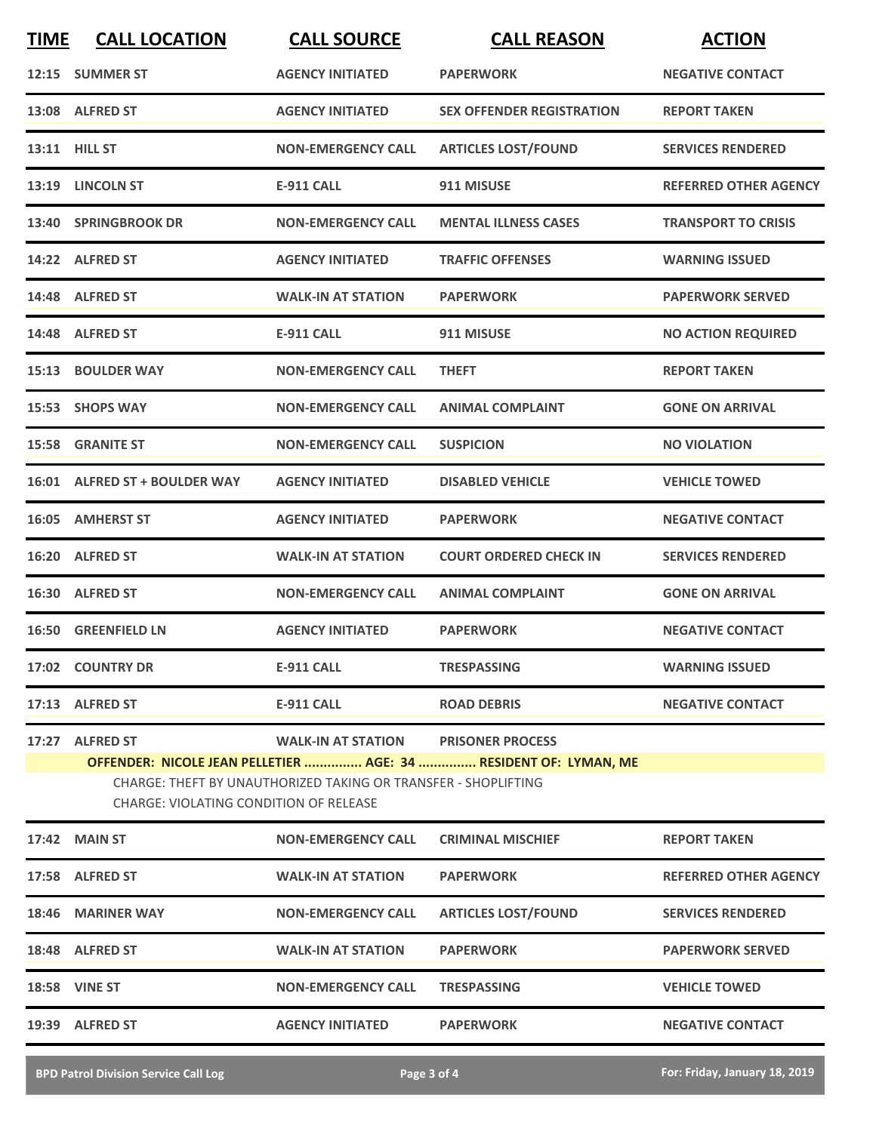| <b>TIME</b> | <b>CALL LOCATION</b>                                                                                                                                                         | <b>CALL SOURCE</b>                         | <b>CALL REASON</b>               | <b>ACTION</b>                |  |
|-------------|------------------------------------------------------------------------------------------------------------------------------------------------------------------------------|--------------------------------------------|----------------------------------|------------------------------|--|
|             | 12:15 SUMMER ST                                                                                                                                                              | <b>AGENCY INITIATED</b>                    | <b>PAPERWORK</b>                 | <b>NEGATIVE CONTACT</b>      |  |
|             | 13:08 ALFRED ST                                                                                                                                                              | <b>AGENCY INITIATED</b>                    | <b>SEX OFFENDER REGISTRATION</b> | <b>REPORT TAKEN</b>          |  |
|             | 13:11 HILL ST                                                                                                                                                                | <b>NON-EMERGENCY CALL</b>                  | <b>ARTICLES LOST/FOUND</b>       | <b>SERVICES RENDERED</b>     |  |
|             | 13:19 LINCOLN ST                                                                                                                                                             | <b>E-911 CALL</b>                          | 911 MISUSE                       | <b>REFERRED OTHER AGENCY</b> |  |
|             | 13:40 SPRINGBROOK DR                                                                                                                                                         | <b>NON-EMERGENCY CALL</b>                  | <b>MENTAL ILLNESS CASES</b>      | <b>TRANSPORT TO CRISIS</b>   |  |
|             | 14:22 ALFRED ST                                                                                                                                                              | <b>AGENCY INITIATED</b>                    | <b>TRAFFIC OFFENSES</b>          | <b>WARNING ISSUED</b>        |  |
|             | 14:48 ALFRED ST                                                                                                                                                              | <b>WALK-IN AT STATION</b>                  | <b>PAPERWORK</b>                 | <b>PAPERWORK SERVED</b>      |  |
|             | 14:48 ALFRED ST                                                                                                                                                              | <b>E-911 CALL</b>                          | 911 MISUSE                       | <b>NO ACTION REQUIRED</b>    |  |
|             | 15:13 BOULDER WAY                                                                                                                                                            | <b>NON-EMERGENCY CALL</b>                  | <b>THEFT</b>                     | <b>REPORT TAKEN</b>          |  |
|             | 15:53 SHOPS WAY                                                                                                                                                              | <b>NON-EMERGENCY CALL</b>                  | <b>ANIMAL COMPLAINT</b>          | <b>GONE ON ARRIVAL</b>       |  |
|             | <b>15:58 GRANITE ST</b>                                                                                                                                                      | <b>NON-EMERGENCY CALL</b>                  | <b>SUSPICION</b>                 | <b>NO VIOLATION</b>          |  |
|             | 16:01 ALFRED ST + BOULDER WAY                                                                                                                                                | <b>AGENCY INITIATED</b>                    | <b>DISABLED VEHICLE</b>          | <b>VEHICLE TOWED</b>         |  |
|             | 16:05 AMHERST ST                                                                                                                                                             | <b>AGENCY INITIATED</b>                    | <b>PAPERWORK</b>                 | <b>NEGATIVE CONTACT</b>      |  |
|             | 16:20 ALFRED ST                                                                                                                                                              | <b>WALK-IN AT STATION</b>                  | <b>COURT ORDERED CHECK IN</b>    | <b>SERVICES RENDERED</b>     |  |
|             | 16:30 ALFRED ST                                                                                                                                                              | <b>NON-EMERGENCY CALL</b>                  | <b>ANIMAL COMPLAINT</b>          | <b>GONE ON ARRIVAL</b>       |  |
|             | 16:50 GREENFIELD LN                                                                                                                                                          | <b>AGENCY INITIATED</b>                    | <b>PAPERWORK</b>                 | <b>NEGATIVE CONTACT</b>      |  |
|             | 17:02 COUNTRY DR                                                                                                                                                             | E-911 CALL                                 | <b>TRESPASSING</b>               | <b>WARNING ISSUED</b>        |  |
|             | 17:13 ALFRED ST                                                                                                                                                              | E-911 CALL                                 | <b>ROAD DEBRIS</b>               | <b>NEGATIVE CONTACT</b>      |  |
|             | 17:27 ALFRED ST                                                                                                                                                              | <b>WALK-IN AT STATION PRISONER PROCESS</b> |                                  |                              |  |
|             | OFFENDER: NICOLE JEAN PELLETIER  AGE: 34  RESIDENT OF: LYMAN, ME<br>CHARGE: THEFT BY UNAUTHORIZED TAKING OR TRANSFER - SHOPLIFTING<br>CHARGE: VIOLATING CONDITION OF RELEASE |                                            |                                  |                              |  |
|             | 17:42 MAIN ST                                                                                                                                                                | <b>NON-EMERGENCY CALL</b>                  | <b>CRIMINAL MISCHIEF</b>         | <b>REPORT TAKEN</b>          |  |
|             | 17:58 ALFRED ST                                                                                                                                                              | <b>WALK-IN AT STATION</b>                  | <b>PAPERWORK</b>                 | <b>REFERRED OTHER AGENCY</b> |  |
|             | 18:46 MARINER WAY                                                                                                                                                            | <b>NON-EMERGENCY CALL</b>                  | <b>ARTICLES LOST/FOUND</b>       | <b>SERVICES RENDERED</b>     |  |
|             | 18:48 ALFRED ST                                                                                                                                                              | <b>WALK-IN AT STATION</b>                  | <b>PAPERWORK</b>                 | <b>PAPERWORK SERVED</b>      |  |
|             | <b>18:58 VINE ST</b>                                                                                                                                                         | <b>NON-EMERGENCY CALL</b>                  | <b>TRESPASSING</b>               | <b>VEHICLE TOWED</b>         |  |
|             | 19:39 ALFRED ST                                                                                                                                                              | AGENCY INITIATED PAPERWORK                 |                                  | <b>NEGATIVE CONTACT</b>      |  |